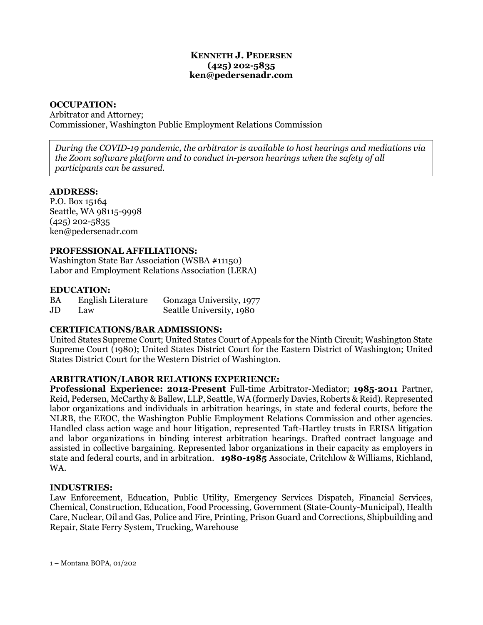# KENNETH J. PEDERSEN (425) 202-5835 ken@pedersenadr.com

#### OCCUPATION:

Arbitrator and Attorney; Commissioner, Washington Public Employment Relations Commission

During the COVID-19 pandemic, the arbitrator is available to host hearings and mediations via the Zoom software platform and to conduct in-person hearings when the safety of all participants can be assured.

#### ADDRESS:

P.O. Box 15164 Seattle, WA 98115-9998 (425) 202-5835 ken@pedersenadr.com

# PROFESSIONAL AFFILIATIONS:

Washington State Bar Association (WSBA #11150) Labor and Employment Relations Association (LERA)

#### EDUCATION:

BA English Literature Gonzaga University, 1977 JD Law Seattle University, 1980

#### CERTIFICATIONS/BAR ADMISSIONS:

United States Supreme Court; United States Court of Appeals for the Ninth Circuit; Washington State Supreme Court (1980); United States District Court for the Eastern District of Washington; United States District Court for the Western District of Washington.

#### ARBITRATION/LABOR RELATIONS EXPERIENCE:

Professional Experience: 2012-Present Full-time Arbitrator-Mediator; 1985-2011 Partner, Reid, Pedersen, McCarthy & Ballew, LLP, Seattle, WA (formerly Davies, Roberts & Reid). Represented labor organizations and individuals in arbitration hearings, in state and federal courts, before the NLRB, the EEOC, the Washington Public Employment Relations Commission and other agencies. Handled class action wage and hour litigation, represented Taft-Hartley trusts in ERISA litigation and labor organizations in binding interest arbitration hearings. Drafted contract language and assisted in collective bargaining. Represented labor organizations in their capacity as employers in state and federal courts, and in arbitration. 1980-1985 Associate, Critchlow & Williams, Richland, WA.

#### INDUSTRIES:

Law Enforcement, Education, Public Utility, Emergency Services Dispatch, Financial Services, Chemical, Construction, Education, Food Processing, Government (State-County-Municipal), Health Care, Nuclear, Oil and Gas, Police and Fire, Printing, Prison Guard and Corrections, Shipbuilding and Repair, State Ferry System, Trucking, Warehouse